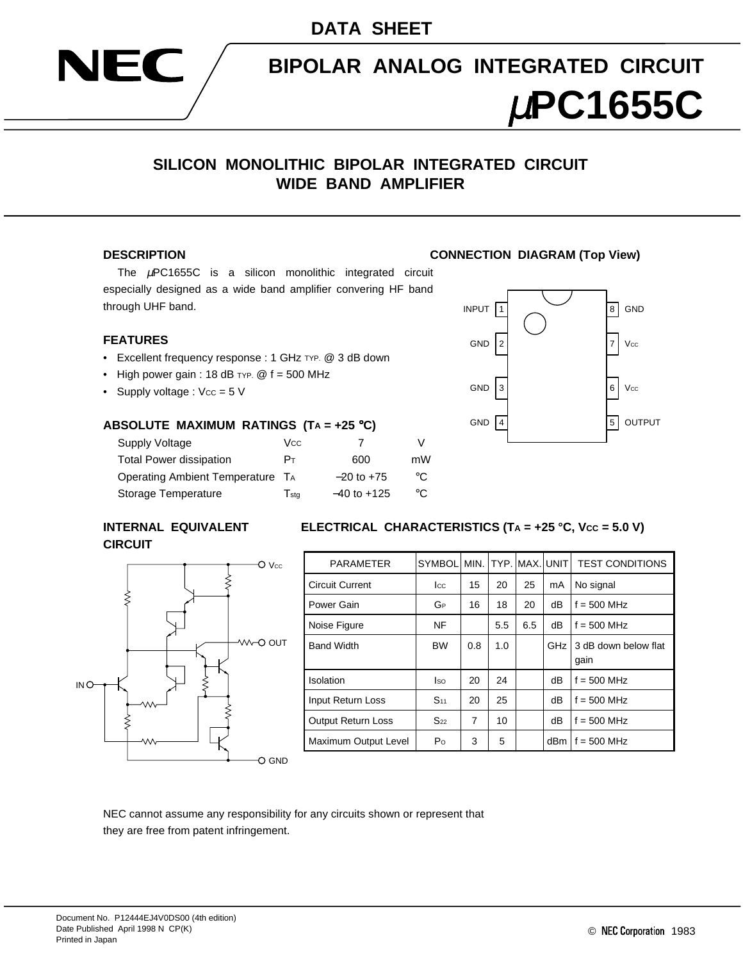



## **BIPOLAR ANALOG INTEGRATED CIRCUIT**

# µ**PC1655C**

### **SILICON MONOLITHIC BIPOLAR INTEGRATED CIRCUIT WIDE BAND AMPLIFIER**

The  $\mu$ PC1655C is a silicon monolithic integrated circuit especially designed as a wide band amplifier convering HF band through UHF band.

#### **FEATURES**

- Excellent frequency response : 1 GHz TYP. @ 3 dB down
- High power gain : 18 dB TYP.  $@f = 500$  MHz
- Supply voltage :  $Vcc = 5$  V

#### **ABSOLUTE MAXIMUM RATINGS (TA = +25** °**C)**

| Supply Voltage                   | Vcc.         |                 |    |
|----------------------------------|--------------|-----------------|----|
| <b>Total Power dissipation</b>   | Pт           | 600             | mW |
| Operating Ambient Temperature TA |              | $-20$ to $+75$  | °C |
| Storage Temperature              | $\Gamma$ stq | $-40$ to $+125$ | °C |

#### **INTERNAL EQUIVALENT ELECTRICAL CHARACTERISTICS (TA = +25 °C, Vcc = 5.0 V) CIRCUIT**



| <b>PARAMETER</b>          | <b>SYMBOL</b>  |     |     | MIN. ITYP. IMAX. UNIT |     | <b>TEST CONDITIONS</b>       |
|---------------------------|----------------|-----|-----|-----------------------|-----|------------------------------|
| <b>Circuit Current</b>    | $_{\rm lcc}$   | 15  | 20  | 25                    | mA  | No signal                    |
| Power Gain                | GР             | 16  | 18  | 20                    | dB  | $f = 500$ MHz                |
| Noise Figure              | <b>NF</b>      |     | 5.5 | 6.5                   | dB  | $f = 500$ MHz                |
| <b>Band Width</b>         | <b>BW</b>      | 0.8 | 1.0 |                       | GHz | 3 dB down below flat<br>qain |
| Isolation                 | lso.           | 20  | 24  |                       | dB  | $f = 500$ MHz                |
| Input Return Loss         | $S_{11}$       | 20  | 25  |                       | dB  | $f = 500$ MHz                |
| <b>Output Return Loss</b> | $S_{22}$       | 7   | 10  |                       | dB  | $f = 500$ MHz                |
| Maximum Output Level      | P <sub>O</sub> | 3   | 5   |                       | dBm | $f = 500$ MHz                |

NEC cannot assume any responsibility for any circuits shown or represent that they are free from patent infringement.

#### **DESCRIPTION CONNECTION DIAGRAM (Top View)**

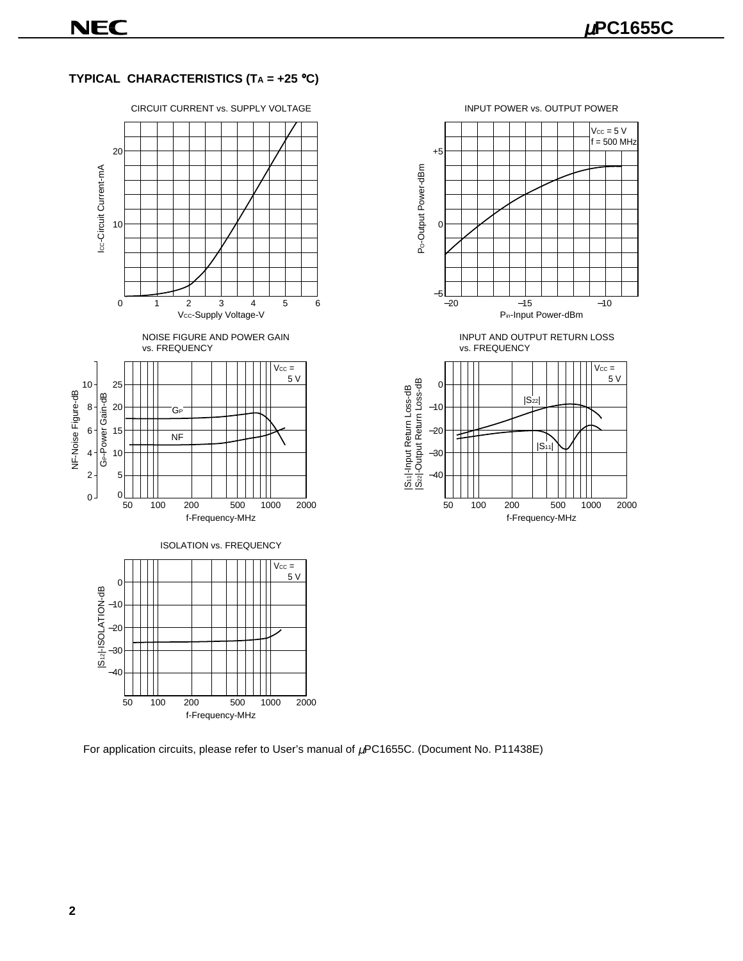#### **TYPICAL CHARACTERISTICS (TA = +25** °**C)**



INPUT POWER vs. OUTPUT POWER



INPUT AND OUTPUT RETURN LOSS vs. FREQUENCY



For application circuits, please refer to User's manual of  $\mu$ PC1655C. (Document No. P11438E)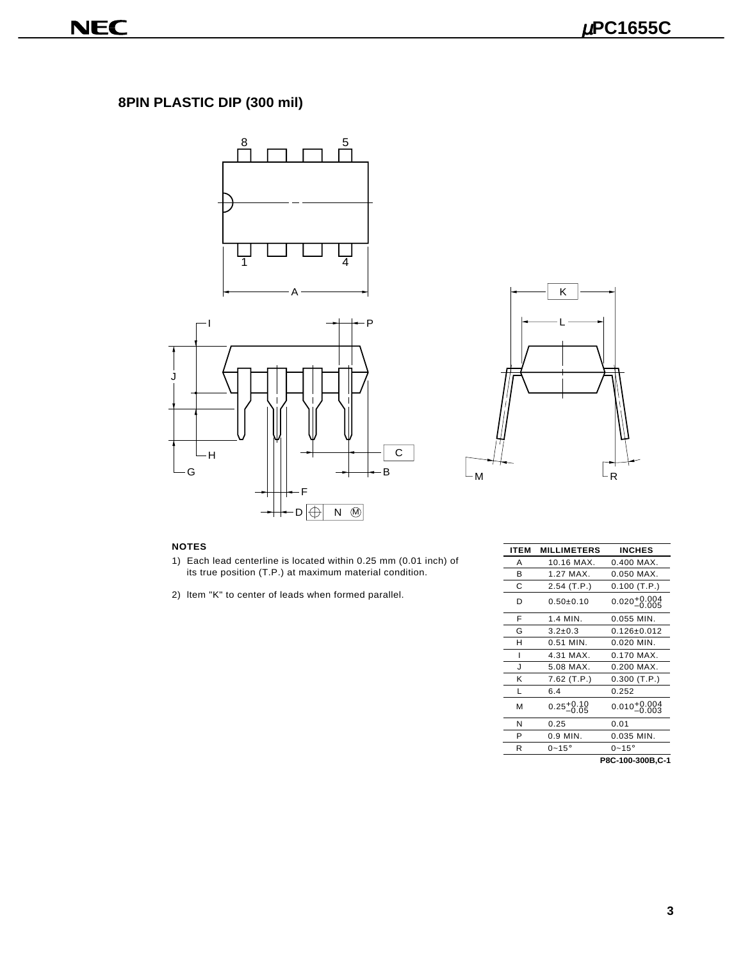## **8PIN PLASTIC DIP (300 mil)**





- 1) Each lead centerline is located within 0.25 mm (0.01 inch) of its true position (T.P.) at maximum material condition.
- 2) ltem "K" to center of leads when formed parallel.

| <b>NOTES</b>                                         |                                                                                                                             | <b>ITEM</b> | <b>MILLIMETERS</b>     | <b>INCHES</b>             |
|------------------------------------------------------|-----------------------------------------------------------------------------------------------------------------------------|-------------|------------------------|---------------------------|
|                                                      | 1) Each lead centerline is located within 0.25 mm (0.01 inch) of<br>its true position (T.P.) at maximum material condition. | A           | 10.16 MAX.             | $0.400$ MAX.              |
|                                                      |                                                                                                                             | B           | 1.27 MAX.              | $0.050$ MAX.              |
|                                                      |                                                                                                                             | C           | $2.54$ (T.P.)          | $0.100$ (T.P.)            |
| 2) Item "K" to center of leads when formed parallel. |                                                                                                                             | D           | $0.50 \pm 0.10$        | $0.020^{+0.004}_{-0.005}$ |
|                                                      |                                                                                                                             | F           | 1.4 MIN.               | 0.055 MIN.                |
|                                                      |                                                                                                                             | G           | $3.2 \pm 0.3$          | $0.126 \pm 0.012$         |
|                                                      |                                                                                                                             | H           | $0.51$ MIN.            | $0.020$ MIN.              |
|                                                      |                                                                                                                             |             | 4.31 MAX.              | 0.170 MAX.                |
|                                                      |                                                                                                                             |             | 5.08 MAX.              | 0.200 MAX.                |
|                                                      |                                                                                                                             | K           | $7.62$ (T.P.)          | $0.300$ (T.P.)            |
|                                                      |                                                                                                                             |             | 6.4                    | 0.252                     |
|                                                      |                                                                                                                             | M           | $0.25_{-0.05}^{+0.10}$ | $0.010^{+0.004}_{-0.003}$ |
|                                                      |                                                                                                                             | N           | 0.25                   | 0.01                      |
|                                                      |                                                                                                                             | P           | 0.9 MIN.               | 0.035 MIN.                |
|                                                      |                                                                                                                             | R.          | $0-15^\circ$           | $0-15^\circ$              |
|                                                      |                                                                                                                             |             |                        |                           |

**P8C-100-300B,C-1**